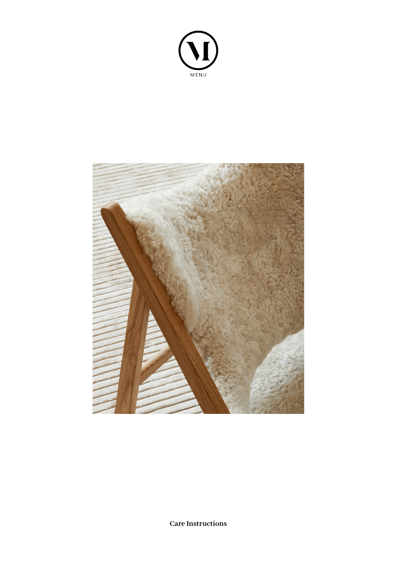



**Care Instructions**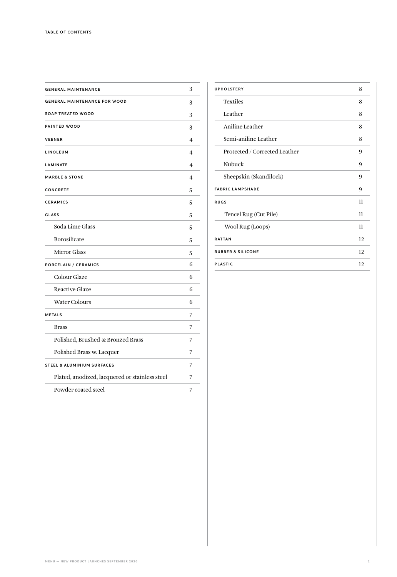| <b>GENERAL MAINTENANCE</b>                     | 3              |
|------------------------------------------------|----------------|
| <b>GENERAL MAINTENANCE FOR WOOD</b>            | 3              |
| <b>SOAP TREATED WOOD</b>                       | 3              |
| PAINTED WOOD                                   | 3              |
| <b>VEENER</b>                                  | 4              |
| LINOLEUM                                       | $\overline{4}$ |
| <b>LAMINATE</b>                                | 4              |
| <b>MARBLE &amp; STONE</b>                      | $\overline{4}$ |
| CONCRETE                                       | 5              |
| <b>CERAMICS</b>                                | 5              |
| <b>GLASS</b>                                   | 5              |
| Soda Lime Glass                                | 5              |
| <b>Borosilicate</b>                            | 5              |
| <b>Mirror Glass</b>                            | 5              |
| <b>PORCELAIN / CERAMICS</b>                    | 6              |
| Colour Glaze                                   | 6              |
| <b>Reactive Glaze</b>                          | 6              |
| <b>Water Colours</b>                           | 6              |
| <b>METALS</b>                                  | 7              |
| <b>Brass</b>                                   | 7              |
| Polished, Brushed & Bronzed Brass              | 7              |
| Polished Brass w. Lacquer                      | 7              |
| <b>STEEL &amp; ALUMINIUM SURFACES</b>          | 7              |
| Plated, anodized, lacquered or stainless steel | 7              |
| Powder coated steel                            | 7              |
|                                                |                |

| 8  |
|----|
| 8  |
| 8  |
| 8  |
| 8  |
| 9  |
| 9  |
| 9  |
| 9  |
| 11 |
| 11 |
| 11 |
| 12 |
| 12 |
| 12 |
|    |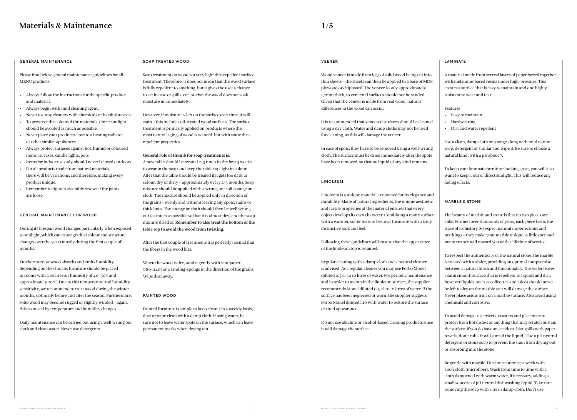**1/5**

#### **GENERAL MAINTENANCE**

Please find below general maintenance guidelines for all MENU products.

- Always follow the instructions for the specific product and material.
- Always begin with mild cleaning agent.
- Never use any cleaners with chemicals or harsh abrasives.
- To preserve the colour of the materials, direct sunlight should be avoided as much as possible.
- Never place your products close to a heating radiator or other similar appliances.
- Always protect surfaces against hot, humid or coloured items i.e. vases, candle lights, pots.
- Items for indoor use only, should never be used outdoors.
- For all products made from natural materials, there will be variations, and therefore, making every product unique.
- Remember to tighten assembly screws if the joints are loose.

#### **GENERAL MAINTENANCE FOR WOOD**

During its lifespan wood changes particularly when exposed to sunlight, which can cause gradual colour and structure changes over the years mostly during the first couple of months.

Furthermore, as wood absorbs and emits humidity depending on the climate, furniture should be placed in rooms with a relative air humidity of 40–50% and approximately 20°C. Due to this temperature and humidity sensitivity, we recommend to treat wood during the winter months, optimally before and after the season. Furthermore, solid wood may become rugged or slightly winded – again, this is caused by temperature and humidity changes.

Daily maintenance can be carried out using a well wrung out cloth and clean water. Never use detergents.

#### **SOAP TREATED WOOD**

Soap treatment on wood is a very light dirt-repellent surface treatment. Therefore, it does not mean that the wood surface is fully repellent to anything, but it gives the user a chance to act in case of spills, etc., so that the wood does not soak moisture in immediately.

However, if moisture is left on the surface over time, it will stain – this includes oil-treated wood surfaces. The surface treatment is primarily applied on products where the most natural aging of wood is wanted, but with some dirtrepellent properties.

#### **General rule of thumb for soap treatments is:**

A new table should be treated 2-3 times in the first 3 weeks to wear in the soap and keep the table top light in colour. After that the table should be treated if it gets too dark in colour, dry or dirty – approximately every 2-3 months. Soap mixture should be applied with a wrung out soft sponge or cloth. The mixture should be applied only in direction of the grains – evenly and without leaving any spots, stains or thick lines. The sponge or cloth should then be well wrung out (as much as possible so that it is almost dry) and the soap mixture dried of. **Remember to also treat the bottom of the table top to avoid the wood from twisting.**

After the first couple of treatments it is perfectly normal that the fibers in the wood lifts.

When the wood is dry, sand it gently with sandpaper (180–240) or a sanding-sponge in the direction of the grains. Wipe dust away.

#### **PAINTED WOOD**

Painted furniture is simple to keep clean. On a weekly basis, dust or wipe clean with a damp cloth. If using water, be sure not to leave water spots on the surface, which can leave permanent marks when drying out.

### **VEENER**

Wood veneer is made from logs of solid wood being cut into thin sheets – the sheets can then be applied to a base of MDF, plywood or chipboard. The veneer is only approximately 1,2mm thick, so veneered surfaces should not be sanded. Given that the veneer is made from real wood, natural differences in the wood can occur.

It is recommended that veneered surfaces should be cleaned using a dry cloth. Water and damp cloths may not be used for cleaning, as this will damage the veneer.

In case of spots, they have to be removed using a well-wrung cloth. The surface must be dried immediately after the spots have been removed, so that no liquid of any kind remains.

#### **LINOLEUM**

Linoleum is a unique material, renowned for its elegance and durability. Made of natural ingredients, the unique aesthetic and tactile properties of the material ensures that every object develops its own character. Combining a matte surface with a warmer, softer texture bestows furniture with a truly distinctive look and feel.

Following these guidelines will ensure that the appearance of the linoleum top is retained.

Regular cleaning with a damp cloth and a neutral cleaner is advised. As a regular cleaner you may use Forbo Monel diluted 0.5 cl. to 10 litres of water. For periodic maintenance and in order to maintain the linoleum surface, the supplier recommends Monel diluted 0.5 cl. to 10 litres of water. If the surface has been neglected or worn, the supplier suggests Forbo Monel diluted 1:10 with water to restore the surface desired appearance.

Do not use alkaline or alcohol-based cleaning products since it will damage the surface.

#### **L A M I N AT E**

A material made from several layers of paper forced together with melamine-based resins under high-pressure. This creates a surface that is easy to maintain and one highly resistant to wear and tear.

#### Features

- Easy to maintain
- Hardwearing
- Dirt and water repellent

Use a clean, damp cloth or sponge along with mild natural soap, detergent or similar and wipe it. Be sure to choose a natural kind, with a pH about 7.

To keep your laminate furniture looking great, you will also want to keep it out of direct sunlight. This will reduce any fading effects.

#### **M A R B L E & STO N E**

The beauty of marble and stone is that no two pieces are alike. Formed over thousands of years, each piece bears the trace of its history. So expect natural imperfections and markings – they make your marble unique. A little care and maintenance will reward you with a lifetime of service.

To respect the authenticity of the natural stone, the marble is treated with a sealer, providing an optimal compromise between a natural finish and functionality. The sealer leaves a satin smooth surface that is repellent to liquids and dirt, however liquids, such as coffee, tea and juices should never be left to dry on the marble as it will damage the surface. Never place acidic fruit on a marble surface. Also avoid using chemicals and corrosive.

To avoid damage, use trivets, coasters and placemats to protect from hot dishes or anything that may scratch or stain the surface. If you do have an accident, blot spills with paper towels (don't rub – it will spread the liquid). Use a pH neutral detergent or stone soap to prevent the stain from drying out or absorbing into the stone.

Be gentle with marble. Dust once or twice a week with a soft cloth (microfiber). Wash from time to time with a cloth dampened with warm water, if necessary, adding a small squeeze of pH neutral dishwashing liquid. Take care removing the soap with a fresh damp cloth. Don't use

# <span id="page-2-0"></span>**Materials & Maintenance**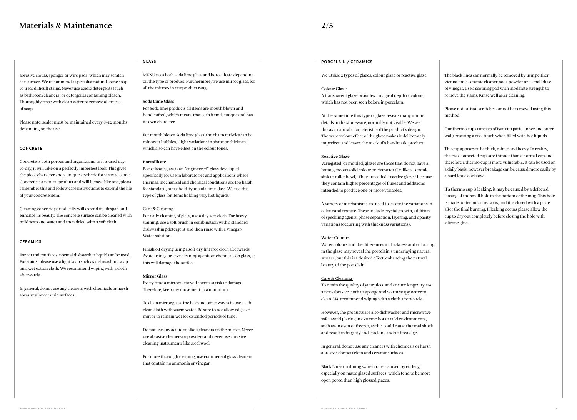abrasive cloths, sponges or wire pads, which may scratch the surface. We recommend a specialist natural stone soap to treat difficult stains. Never use acidic detergents (such as bathroom cleaners) or detergents containing bleach. Thoroughly rinse with clean water to remove all traces of soap.

Please note, sealer must be maintained every 8–12 months depending on the use.

# **CONCRETE**

Concrete is both porous and organic, and as it is used dayto-day, it will take on a perfectly imperfect look. This gives the piece character and a unique aesthetic for years to come. Concrete is a natural product and will behave like one, please remember this and follow care instructions to extend the life of your concrete item.

Cleaning concrete periodically will extend its lifespan and enhance its beauty. The concrete surface can be cleaned with mild soap and water and then dried with a soft cloth.

# **CERAMICS**

For ceramic surfaces, normal dishwasher liquid can be used. For stains, please use a light soap such as dishwashing soap on a wet cotton cloth. We recommend wiping with a cloth afterwards.

In general, do not use any cleaners with chemicals or harsh abrasives for ceramic surfaces.

# **GLASS**

MENU uses both soda lime glass and borosilicate depending on the type of product. Furthermore, we use mirror glass, for all the mirrors in our product range.

### **Soda Lime Glass**

For Soda lime products all items are mouth blown and handcrafted, which means that each item is unique and has its own character.

For mouth blown Soda lime glass, the characteristics can be minor air bubbles, slight variations in shape or thickness, which also can have effect on the colour tones.

# **Borosilicate**

Borosilicate glass is an "engineered" glass developed specifically for use in laboratories and applications where thermal, mechanical and chemical conditions are too harsh for standard, household-type soda lime glass. We use this type of glass for items holding very hot liquids.

# Care & Cleaning

For daily cleaning of glass, use a dry soft cloth. For heavy staining, use a soft brush in combination with a standard dishwashing detergent and then rinse with a Vinegar-Water solution.

Finish off drying using a soft dry lint free cloth afterwards. Avoid using abrasive cleaning agents or chemicals on glass, as this will damage the surface.

#### **Mirror Glass**

Every time a mirror is moved there is a risk of damage. Therefore, keep any movement to a minimum.

To clean mirror glass, the best and safest way is to use a soft clean cloth with warm water. Be sure to not allow edges of mirror to remain wet for extended periods of time.

Do not use any acidic or alkali cleaners on the mirror. Never use abrasive cleaners or powders and never use abrasive cleaning instruments like steel wool.

For more thorough cleaning, use commercial glass cleaners that contain no ammonia or vinegar.

# **PORCELAIN / CERAMICS**

We utilise 2 types of glazes, colour glaze or reactive glaze:

#### **Colour Glaze**

A transparent glaze provides a magical depth of colour, which has not been seen before in porcelain.

At the same time this type of glaze reveals many minor details in the stoneware, normally not visible. We see this as a natural characteristic of the product's design. The watercolour effect of the glaze makes it deliberately imperfect, and leaves the mark of a handmade product.

#### **Reactive Glaze**

Variegated, or mottled, glazes are those that do not have a homogeneous solid colour or character (i.e. like a ceramic sink or toilet bowl). They are called 'reactive glazes' because they contain higher percentages of fluxes and additions intended to produce one or more variables.

A variety of mechanisms are used to create the variations in colour and texture. These include crystal growth, addition of speckling agents, phase separation, layering, and opacity variations (occurring with thickness variations).

#### **Water Colours**

Water colours and the differences in thickness and colouring in the glaze may reveal the porcelain's underlaying natural surface, but this is a desired effect, enhancing the natural beauty of the porcelain

#### Care & Cleaning

To retain the quality of your piece and ensure longevity, use a non-abrasive cloth or sponge and warm soapy water to clean. We recommend wiping with a cloth afterwards.

However, the products are also dishwasher and microwave safe. Avoid placing in extreme hot or cold environments, such as an oven or freezer, as this could cause thermal shock and result in fragility and cracking and/or breakage.

In general, do not use any cleaners with chemicals or harsh abrasives for porcelain and ceramic surfaces.

Black Lines on dining ware is often caused by cutlery, especially on matte glazed surfaces, which tend to be more open pored than high glossed glazes.

The black lines can normally be removed by using either vienna lime, ceramic cleaner, soda powder or a small dose of vinegar. Use a scouring pad with moderate strength to remove the stains. Rinse well after cleaning.

Please note actual scratches cannot be removed using this method.

Our thermo cups consists of two cup parts (inner and outer wall) ensuring a cool touch when filled with hot liquids.

The cup appears to be thick, robust and heavy. In reality, the two connected cups are thinner than a normal cup and therefore a thermo cup is more vulnerable. It can be used on a daily basis, however breakage can be caused more easily by a hard knock or blow.

If a thermo cup is leaking, it may be caused by a defected closing of the small hole in the bottom of the mug. This hole is made for technical reasons, and it is closed with a paste after the final burning. If leaking occurs please allow the cup to dry out completely before closing the hole with silicone glue.

# <span id="page-3-0"></span>**Materials & Maintenance**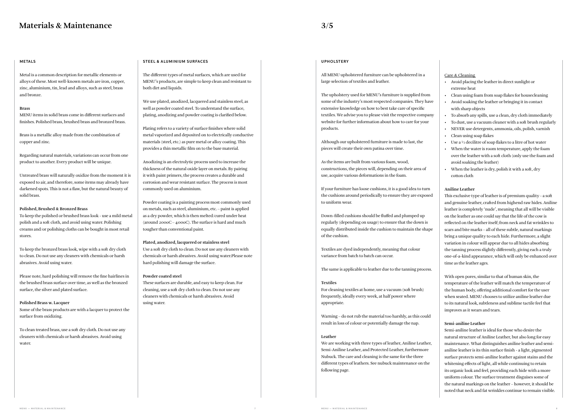#### **M ETA LS**

Metal is a common description for metallic elements or alloys of these. Most well-known metals are iron, copper, zinc, aluminium, tin, lead and alloys, such as steel, brass and bronze.

#### **Brass**

MENU items in solid brass come in different surfaces and finishes. Polished brass, brushed brass and bronzed brass.

Brass is a metallic alloy made from the combination of copper and zinc.

Regarding natural materials, variations can occur from one product to another. Every product will be unique.

Untreated brass will naturally oxidize from the moment it is exposed to air, and therefore, some items may already have darkened spots. This is not a flaw, but the natural beauty of solid brass.

#### **Polished, Brushed & Bronzed Brass**

To keep the polished or brushed brass look - use a mild metal polish and a soft cloth, and avoid using water. Polishing creams and/or polishing cloths can be bought in most retail stores.

To keep the bronzed brass look, wipe with a soft dry cloth to clean. Do not use any cleaners with chemicals or harsh abrasives. Avoid using water.

Please note, hard polishing will remove the fine hairlines in the brushed brass surface over time, as well as the bronzed surface, the silver and plated surface.

#### **Polished Brass w. Lacquer**

Some of the brass products are with a lacquer to protect the surface from oxidizing.

To clean treated brass, use a soft dry cloth. Do not use any cleaners with chemicals or harsh abrasives. Avoid using water.

#### **STEEL & ALUMINIUM SURFACES**

The different types of metal surfaces, which are used for MENU's products, are simple to keep clean and resistant to both dirt and liquids.

We use plated, anodized, lacquered and stainless steel, as well as powder coated steel. To understand the surface, plating, anodizing and powder coating is clarified below.

Plating refers to a variety of surface finishes where solid metal vaporized and deposited on to electrically conductive materials (steel, etc.) as pure metal or alloy coating. This provides a thin metallic film on to the base material.

Anodizing is an electrolytic process used to increase the thickness of the natural oxide layer on metals. By pairing it with paint primers, the process creates a durable and corrosion and wear resistant surface. The process is most commonly used on aluminium.

Powder coating is a painting process most commonly used on metals, such as steel, aluminium, etc. – paint is applied as a dry powder, which is then melted/cured under heat (around 200oC – 400oC). The surface is hard and much tougher than conventional paint.

#### **Plated, anodized, lacquered or stainless steel**

Use a soft dry cloth to clean. Do not use any cleaners with chemicals or harsh abrasives. Avoid using water.Please note hard polishing will damage the surface.

#### **Powder coated steel**

These surfaces are durable, and easy to keep clean. For cleaning, use a soft dry cloth to clean. Do not use any cleaners with chemicals or harsh abrasives. Avoid using water.

#### **UPHOLSTERY**

All MENU upholstered furniture can be upholstered in a large selection of textiles and leather.

The upholstery used for MENU's furniture is supplied from some of the industry's most respected companies. They have extensive knowledge on how to best take care of specific textiles. We advise you to please visit the respective company website for further information about how to care for your products.

Although our upholstered furniture is made to last, the pieces will create their own patina over time.

As the items are built from various foam, wood, constructions, the pieces will, depending on their area of use, acquire various deformations in the foam.

If your furniture has loose cushions, it is a good idea to turn the cushions around periodically to ensure they are exposed to uniform wear.

Down-filled cushions should be fluffed and plumped up regularly (depending on usage) to ensure that the down is equally distributed inside the cushion to maintain the shape of the cushion.

Textiles are dyed independently, meaning that colour variance from batch to batch can occur.

The same is applicable to leather due to the tanning process.

# **Textiles**

For cleaning textiles at home, use a vacuum (soft brush) frequently, ideally every week, at half power where appropriate.

Warning – do not rub the material too harshly, as this could result in loss of colour or potentially damage the nap.

#### **Leather**

We are working with three types of leather, Aniline Leather, Semi-Aniline Leather, and Protected Leather, furthermore Nubuck. The care and cleaning is the same for the three different types of leathers. See nubuck maintenance on the following page.

# Care & Cleaning

- Avoid placing the leather in direct sunlight or extreme heat
- Clean using foam from soap flakes for housecleaning
- Avoid soaking the leather or bringing it in contact with sharp objects
- To absorb any spills, use a clean, dry cloth immediately
- To dust, use a vacuum cleaner with a soft brush regularly
- NEVER use detergents, ammonia, oils, polish, varnish
- Clean using soap flakes
- Use a  $\frac{1}{2}$  decilitre of soap flakes to a litre of hot water
- When the water is room temperature, apply the foam over the leather with a soft cloth (only use the foam and avoid soaking the leather)
- When the leather is dry, polish it with a soft, dry cotton cloth

**Aniline Leather**

This exclusive type of leather is of premium quality - a soft and genuine leather, crafted from highend raw hides. Aniline leather is completely 'nude', meaning that all will be visible on the leather as one could say that the life of the cow is reflected on the leather itself; from neck and fat wrinkles to scars and bite marks – all of these subtle, natural markings bring a unique quality to each hide. Furthermore, a slight variation in colour will appear due to all hides absorbing the tanning process slightly differently, giving each a truly one-of-a-kind appearance, which will only be enhanced over time as the leather ages.

With open pores, similar to that of human skin, the temperature of the leather will match the temperature of the human body, offering additional comfort for the user when seated. MENU chooses to utilize aniline leather due to its natural look, subtleness and sublime tactile feel that improves as it wears and tears.

# **Semi-aniline Leather**

Semi-aniline leather is ideal for those who desire the natural structure of Aniline Leather, but also long for easy maintenance. What distinguishes aniline leather and semianiline leather is its thin surface finish - a light, pigmented surface protects semi-aniline leather against stains and the whitening effects of light, all while continuing to retain its organic look and feel, providing each hide with a more uniform colour. The surface treatment disguises some of the natural markings on the leather – however, it should be noted that neck and fat wrinkles continue to remain visible.

# <span id="page-4-0"></span>**Materials & Maintenance**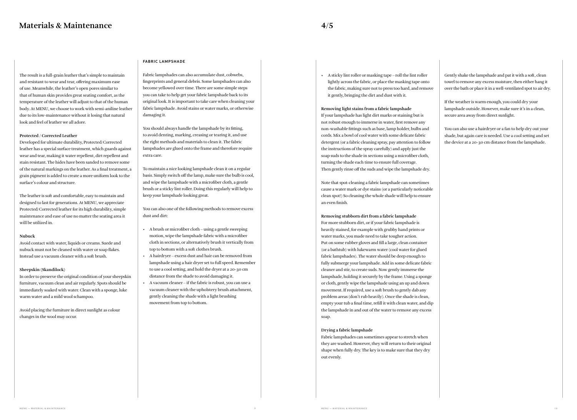The result is a full-grain leather that's simple to maintain and resistant to wear and tear, offering maximum ease of use. Meanwhile, the leather's open pores similar to that of human skin provides great seating comfort, as the temperature of the leather will adjust to that of the human body. At MENU, we choose to work with semi-aniline leather due to its low-maintenance without it losing that natural look and feel of leather we all adore.

#### **Protected / Corrected Leather**

Developed for ultimate durability, Protected/Corrected leather has a special surface treatment, which guards against wear and tear, making it water repellent, dirt repellent and stain resistant. The hides have been sanded to remove some of the natural markings on the leather. As a final treatment, a grain pigment is added to create a more uniform look to the surface's colour and structure.

The leather is soft and comfortable, easy to maintain and designed to last for generations. At MENU, we appreciate Protected/Corrected leather for its high durability, simple maintenance and ease of use no matter the seating area it will be utilized in.

#### **Nubuck**

Avoid contact with water, liquids or creams. Suede and nubuck must not be cleaned with water or soap flakes. Instead use a vacuum cleaner with a soft brush.

# **Sheepskin (Skandilock)**

In order to preserve the original condition of your sheepskin furniture, vacuum clean and air regularly. Spots should be immediately soaked with water. Clean with a sponge, luke warm water and a mild wool schampoo.

Avoid placing the furniture in direct sunlight as colour changes in the wool may occur.

### **FABRIC LAMPSHADE**

Fabric lampshades can also accumulate dust, cobwebs, fingerprints and general debris. Some lampshades can also become yellowed over time. There are some simple steps you can take to help get your fabric lampshade back to its original look. It is important to take care when cleaning your fabric lampshade. Avoid stains or water marks, or otherwise damaging it.

You should always handle the lampshade by its fitting, to avoid denting, marking, creasing or tearing it, and use the right methods and materials to clean it. The fabric lampshades are glued onto the frame and therefore require extra care.

To maintain a nice looking lampshade clean it on a regular basis. Simply switch off the lamp, make sure the bulb is cool, and wipe the lampshade with a microfiber cloth, a gentle brush or a sticky lint roller. Doing this regularly will help to keep your lampshade looking great.

You can also one of the following methods to remove excess dust and dirt:

- A brush or microfiber cloth using a gentle sweeping motion, wipe the lampshade fabric with a microfiber cloth in sections, or alternatively brush it vertically from top to bottom with a soft clothes brush.
- A hairdryer excess dust and hair can be removed from lampshade using a hair dryer set to full speed. Remember to use a cool setting, and hold the dryer at a 20-30 cm distance from the shade to avoid damaging it.
- A vacuum cleaner if the fabric is robust, you can use a vacuum cleaner with the upholstery brush attachment, gently cleaning the shade with a light brushing movement from top to bottom.

• A sticky lint roller or masking tape – roll the lint roller lightly across the fabric, or place the masking tape onto the fabric, making sure not to press too hard, and remove it gently, bringing the dirt and dust with it.

**Removing light stains from a fabric lampshade** If your lampshade has light dirt marks or staining but is not robust enough to immerse in water, first remove any non-washable fittings such as base, lamp holder, bulbs and cords. Mix a bowl of cool water with some delicate fabric detergent (or a fabric cleaning spray, pay attention to follow the instructions of the spray carefully) and apply just the soap suds to the shade in sections using a microfiber cloth, turning the shade each time to ensure full coverage. Then gently rinse off the suds and wipe the lampshade dry.

Note that spot-cleaning a fabric lampshade can sometimes cause a water mark or dye stains (or a particularly noticeable clean spot!) So cleaning the whole shade will help to ensure an even finish.

**Removing stubborn dirt from a fabric lampshade** For more stubborn dirt, or if your fabric lampshade is heavily stained, for example with grubby hand prints or water marks, you made need to take tougher action. Put on some rubber gloves and fill a large, clean container (or a bathtub) with lukewarm water (cool water for glued fabric lampshades). The water should be deep enough to fully submerge your lampshade. Add in some delicate fabric cleaner and stir, to create suds. Now gently immerse the lampshade, holding it securely by the frame. Using a sponge or cloth, gently wipe the lampshade using an up and down movement. If required, use a soft brush to gently dab any problem areas (don't rub heavily). Once the shade is clean, empty your tub a final time, refill it with clean water, and dip the lampshade in and out of the water to remove any excess soap.

#### **Drying a fabric lampshade**

Fabric lampshades can sometimes appear to stretch when they are washed. However, they will return to their original shape when fully dry. The key is to make sure that they dry out evenly.

# **Materials & Maintenance**

Gently shake the lampshade and pat it with a soft, clean towel to remove any excess moisture, then either hang it over the bath or place it in a well-ventilated spot to air dry.

If the weather is warm enough, you could dry your lampshade outside. However, make sure it's in a clean, secure area away from direct sunlight.

You can also use a hairdryer or a fan to help dry out your shade, but again care is needed. Use a cool setting and set the device at a 20-30 cm distance from the lampshade.